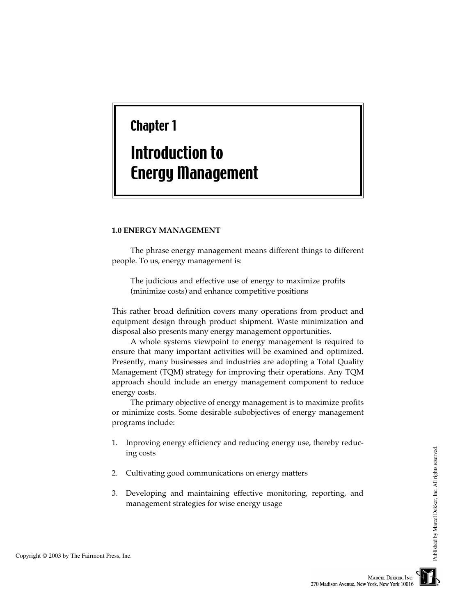# Chapter 1

# Introduction to Energy Management

# **1.0 ENERGY MANAGEMENT**

The phrase energy management means different things to different people. To us, energy management is:

The judicious and effective use of energy to maximize profits (minimize costs) and enhance competitive positions

This rather broad definition covers many operations from product and equipment design through product shipment. Waste minimization and disposal also presents many energy management opportunities.

A whole systems viewpoint to energy management is required to ensure that many important activities will be examined and optimized. Presently, many businesses and industries are adopting a Total Quality Management (TQM) strategy for improving their operations. Any TQM approach should include an energy management component to reduce energy costs.

The primary objective of energy management is to maximize profits or minimize costs. Some desirable subobjectives of energy management programs include:

- 1. Inproving energy efficiency and reducing energy use, thereby reducing costs
- 2. Cultivating good communications on energy matters
- 3. Developing and maintaining effective monitoring, reporting, and management strategies for wise energy usage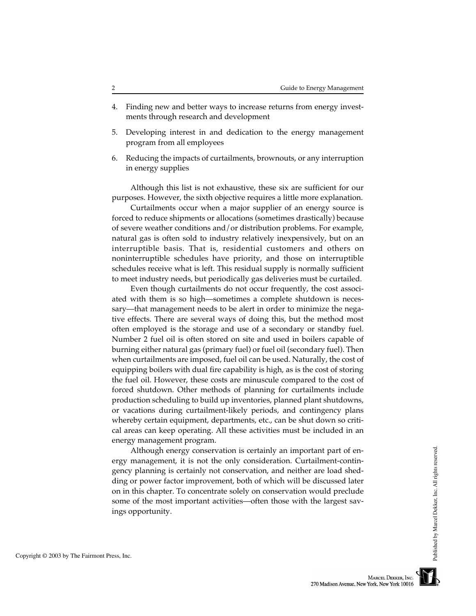- 4. Finding new and better ways to increase returns from energy investments through research and development
- 5. Developing interest in and dedication to the energy management program from all employees
- 6. Reducing the impacts of curtailments, brownouts, or any interruption in energy supplies

Although this list is not exhaustive, these six are sufficient for our purposes. However, the sixth objective requires a little more explanation.

Curtailments occur when a major supplier of an energy source is forced to reduce shipments or allocations (sometimes drastically) because of severe weather conditions and/or distribution problems. For example, natural gas is often sold to industry relatively inexpensively, but on an interruptible basis. That is, residential customers and others on noninterruptible schedules have priority, and those on interruptible schedules receive what is left. This residual supply is normally sufficient to meet industry needs, but periodically gas deliveries must be curtailed.

Even though curtailments do not occur frequently, the cost associated with them is so high—sometimes a complete shutdown is necessary—that management needs to be alert in order to minimize the negative effects. There are several ways of doing this, but the method most often employed is the storage and use of a secondary or standby fuel. Number 2 fuel oil is often stored on site and used in boilers capable of burning either natural gas (primary fuel) or fuel oil (secondary fuel). Then when curtailments are imposed, fuel oil can be used. Naturally, the cost of equipping boilers with dual fire capability is high, as is the cost of storing the fuel oil. However, these costs are minuscule compared to the cost of forced shutdown. Other methods of planning for curtailments include production scheduling to build up inventories, planned plant shutdowns, or vacations during curtailment-likely periods, and contingency plans whereby certain equipment, departments, etc., can be shut down so critical areas can keep operating. All these activities must be included in an energy management program.

Although energy conservation is certainly an important part of energy management, it is not the only consideration. Curtailment-contingency planning is certainly not conservation, and neither are load shedding or power factor improvement, both of which will be discussed later on in this chapter. To concentrate solely on conservation would preclude some of the most important activities—often those with the largest savings opportunity.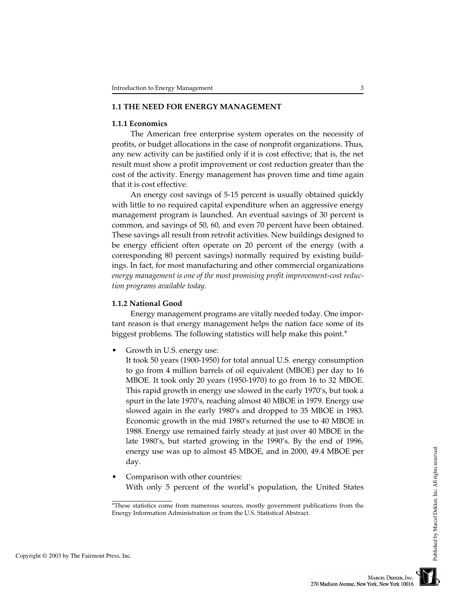# **1.1 THE NEED FOR ENERGY MANAGEMENT**

#### **1.1.1 Economics**

The American free enterprise system operates on the necessity of profits, or budget allocations in the case of nonprofit organizations. Thus, any new activity can be justified only if it is cost effective; that is, the net result must show a profit improvement or cost reduction greater than the cost of the activity. Energy management has proven time and time again that it is cost effective.

An energy cost savings of 5-15 percent is usually obtained quickly with little to no required capital expenditure when an aggressive energy management program is launched. An eventual savings of 30 percent is common, and savings of 50, 60, and even 70 percent have been obtained. These savings all result from retrofit activities. New buildings designed to be energy efficient often operate on 20 percent of the energy (with a corresponding 80 percent savings) normally required by existing buildings. In fact, for most manufacturing and other commercial organizations *energy management is one of the most promising profit improvement-cost reduction programs available today.*

#### **1.1.2 National Good**

Energy management programs are vitally needed today. One important reason is that energy management helps the nation face some of its biggest problems. The following statistics will help make this point.\*

• Growth in U.S. energy use:

It took 50 years (1900-1950) for total annual U.S. energy consumption to go from 4 million barrels of oil equivalent (MBOE) per day to 16 MBOE. It took only 20 years (1950-1970) to go from 16 to 32 MBOE. This rapid growth in energy use slowed in the early 1970's, but took a spurt in the late 1970's, reaching almost 40 MBOE in 1979. Energy use slowed again in the early 1980's and dropped to 35 MBOE in 1983. Economic growth in the mid 1980's returned the use to 40 MBOE in 1988. Energy use remained fairly steady at just over 40 MBOE in the late 1980's, but started growing in the 1990's. By the end of 1996, energy use was up to almost 45 MBOE, and in 2000, 49.4 MBOE per day.

• Comparison with other countries: With only 5 percent of the world's population, the United States

<sup>\*</sup>These statistics come from numerous sources, mostly government publications from the Energy Information Administration or from the U.S. Statistical Abstract.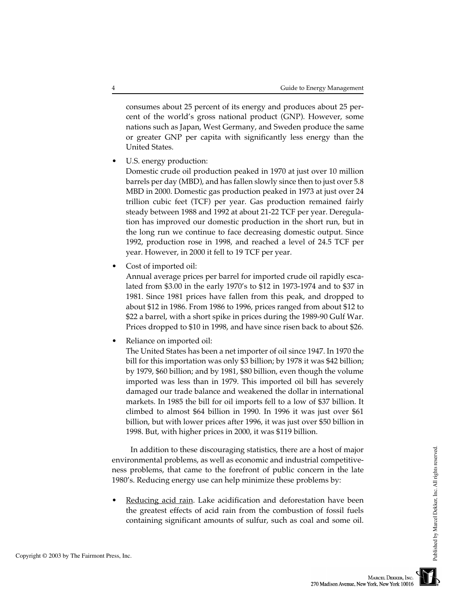consumes about 25 percent of its energy and produces about 25 percent of the world's gross national product (GNP). However, some nations such as Japan, West Germany, and Sweden produce the same or greater GNP per capita with significantly less energy than the United States.

• U.S. energy production:

Domestic crude oil production peaked in 1970 at just over 10 million barrels per day (MBD), and has fallen slowly since then to just over 5.8 MBD in 2000. Domestic gas production peaked in 1973 at just over 24 trillion cubic feet (TCF) per year. Gas production remained fairly steady between 1988 and 1992 at about 21-22 TCF per year. Deregulation has improved our domestic production in the short run, but in the long run we continue to face decreasing domestic output. Since 1992, production rose in 1998, and reached a level of 24.5 TCF per year. However, in 2000 it fell to 19 TCF per year.

Cost of imported oil:

Annual average prices per barrel for imported crude oil rapidly escalated from \$3.00 in the early 1970's to \$12 in 1973-1974 and to \$37 in 1981. Since 1981 prices have fallen from this peak, and dropped to about \$12 in 1986. From 1986 to 1996, prices ranged from about \$12 to \$22 a barrel, with a short spike in prices during the 1989-90 Gulf War. Prices dropped to \$10 in 1998, and have since risen back to about \$26.

Reliance on imported oil:

The United States has been a net importer of oil since 1947. In 1970 the bill for this importation was only \$3 billion; by 1978 it was \$42 billion; by 1979, \$60 billion; and by 1981, \$80 billion, even though the volume imported was less than in 1979. This imported oil bill has severely damaged our trade balance and weakened the dollar in international markets. In 1985 the bill for oil imports fell to a low of \$37 billion. It climbed to almost \$64 billion in 1990. In 1996 it was just over \$61 billion, but with lower prices after 1996, it was just over \$50 billion in 1998. But, with higher prices in 2000, it was \$119 billion.

In addition to these discouraging statistics, there are a host of major environmental problems, as well as economic and industrial competitiveness problems, that came to the forefront of public concern in the late 1980's. Reducing energy use can help minimize these problems by:

• Reducing acid rain. Lake acidification and deforestation have been the greatest effects of acid rain from the combustion of fossil fuels containing significant amounts of sulfur, such as coal and some oil.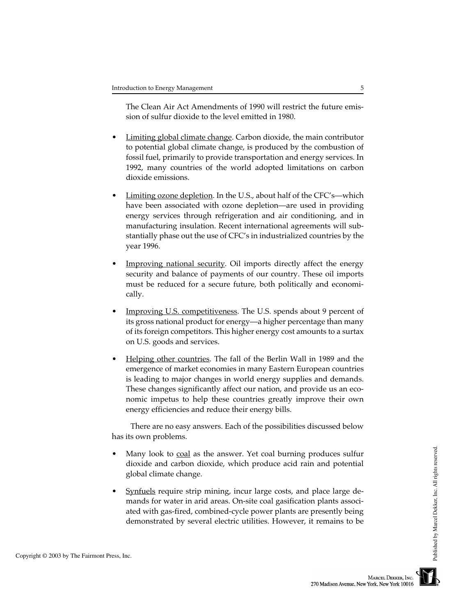The Clean Air Act Amendments of 1990 will restrict the future emission of sulfur dioxide to the level emitted in 1980.

- <span id="page-4-0"></span>Limiting global climate change. Carbon dioxide, the main contributor to potential global climate change, is produced by the combustion of fossil fuel, primarily to provide transportation and energy services. In 1992, many countries of the world adopted limitations on carbon dioxide emissions.
- Limiting ozone depletion. In the U.S., about half of the CFC's—which have been associated with ozone depletion—are used in providing energy services through refrigeration and air conditioning, and in manufacturing insulation. Recent international agreements will substantially phase out the use of CFC's in industrialized countries by the year 1996.
- Improving national security. Oil imports directly affect the energy security and balance of payments of our country. These oil imports must be reduced for a secure future, both politically and economically.
- Improving U.S. competitiveness. The U.S. spends about 9 percent of its gross national product for energy—a higher percentage than many of its foreign competitors. This higher energy cost amounts to a surtax on U.S. goods and services.
- **Helping other countries.** The fall of the Berlin Wall in 1989 and the emergence of market economies in many Eastern European countries is leading to major changes in world energy supplies and demands. These changes significantly affect our nation, and provide us an economic impetus to help these countries greatly improve their own energy efficiencies and reduce their energy bills.

There are no easy answers. Each of the possibilities discussed below has its own problems.

- Many look to coal as the answer. Yet coal burning produces sulfur dioxide and carbon dioxide, which produce acid rain and potential global climate change.
- Synfuels require strip mining, incur large costs, and place large demands for water in arid areas. On-site coal gasification plants associated with gas-fired, combined-cycle power plants are presently being demonstrated by several electric utilities. However, it remains to be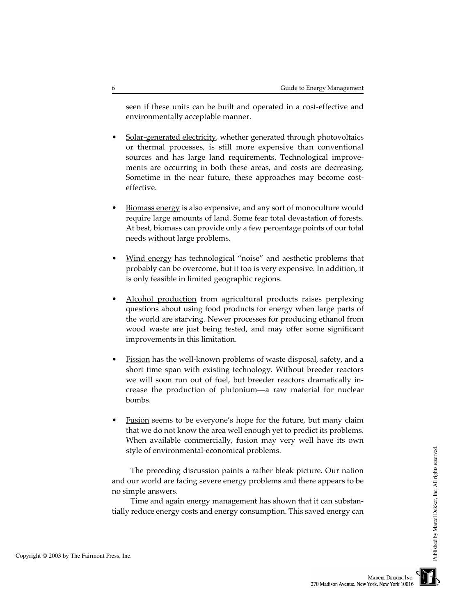seen if these units can be built and operated in a cost-effective and environmentally acceptable manner.

- Solar-generated electricity, whether generated through photovoltaics or thermal processes, is still more expensive than conventional sources and has large land requirements. Technological improvements are occurring in both these areas, and costs are decreasing. Sometime in the near future, these approaches may become costeffective.
- Biomass energy is also expensive, and any sort of monoculture would require large amounts of land. Some fear total devastation of forests. At best, biomass can provide only a few percentage points of our total needs without large problems.
- Wind energy has technological "noise" and aesthetic problems that probably can be overcome, but it too is very expensive. In addition, it is only feasible in limited geographic regions.
- Alcohol production from agricultural products raises perplexing questions about using food products for energy when large parts of the world are starving. Newer processes for producing ethanol from wood waste are just being tested, and may offer some significant improvements in this limitation.
- Fission has the well-known problems of waste disposal, safety, and a short time span with existing technology. Without breeder reactors we will soon run out of fuel, but breeder reactors dramatically increase the production of plutonium—a raw material for nuclear bombs.
- Fusion seems to be everyone's hope for the future, but many claim that we do not know the area well enough yet to predict its problems. When available commercially, fusion may very well have its own style of environmental-economical problems.

The preceding discussion paints a rather bleak picture. Our nation and our world are facing severe energy problems and there appears to be no simple answers.

Time and again energy management has shown that it can substantially reduce energy costs and energy consumption. This saved energy can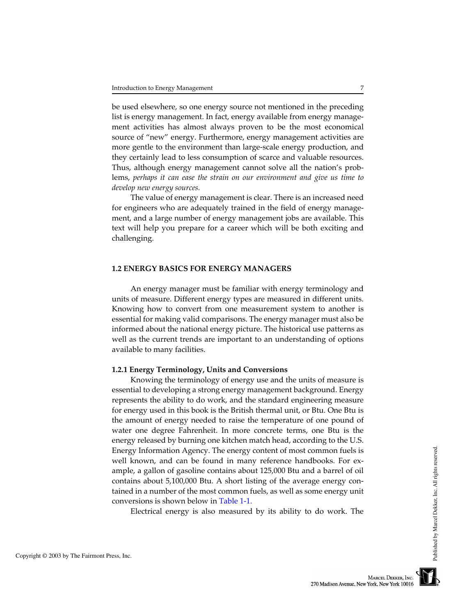be used elsewhere, so one energy source not mentioned in the preceding list is energy management. In fact, energy available from energy management activities has almost always proven to be the most economical source of "new" energy. Furthermore, energy management activities are more gentle to the environment than large-scale energy production, and they certainly lead to less consumption of scarce and valuable resources. Thus, although energy management cannot solve all the nation's problems, *perhaps it can ease the strain on our environment and give us time to develop new energy sources.*

The value of energy management is clear. There is an increased need for engineers who are adequately trained in the field of energy management, and a large number of energy management jobs are available. This text will help you prepare for a career which will be both exciting and challenging.

# **1.2 ENERGY BASICS FOR ENERGY MANAGERS**

An energy manager must be familiar with energy terminology and units of measure. Different energy types are measured in different units. Knowing how to convert from one measurement system to another is essential for making valid comparisons. The energy manager must also be informed about the national energy picture. The historical use patterns as well as the current trends are important to an understanding of options available to many facilities.

# **1.2.1 Energy Terminology, Units and Conversions**

Knowing the terminology of energy use and the units of measure is essential to developing a strong energy management background. Energy represents the ability to do work, and the standard engineering measure for energy used in this book is the British thermal unit, or Btu. One Btu is the amount of energy needed to raise the temperature of one pound of water one degree Fahrenheit. In more concrete terms, one Btu is the energy released by burning one kitchen match head, according to the U.S. Energy Information Agency. The energy content of most common fuels is well known, and can be found in many reference handbooks. For example, a gallon of gasoline contains about 125,000 Btu and a barrel of oil contains about 5,100,000 Btu. A short listing of the average energy contained in a number of the most common fuels, as well as some energy unit conversions is shown below i[n Table 1-1.](#page-7-0)

Electrical energy is also measured by its ability to do work. The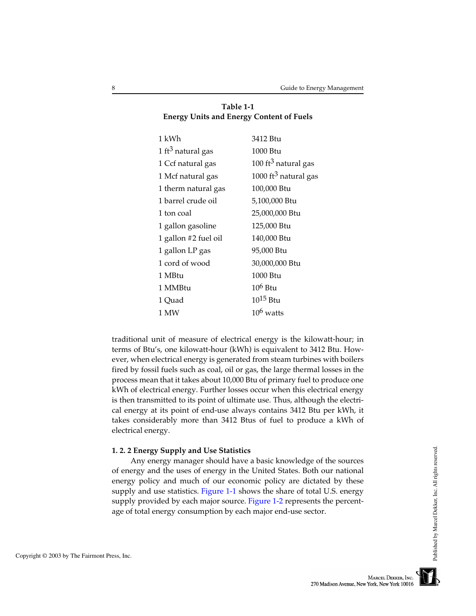# **Table 1-1 Energy Units and Energy Content of Fuels**

<span id="page-7-0"></span>

| 1 kWh                         | 3412 Btu                         |
|-------------------------------|----------------------------------|
| 1 ft <sup>3</sup> natural gas | 1000 Btu                         |
| 1 Ccf natural gas             | 100 ft <sup>3</sup> natural gas  |
| 1 Mcf natural gas             | 1000 ft <sup>3</sup> natural gas |
| 1 therm natural gas           | 100,000 Btu                      |
| 1 barrel crude oil            | 5,100,000 Btu                    |
| 1 ton coal                    | 25,000,000 Btu                   |
| 1 gallon gasoline             | 125,000 Btu                      |
| 1 gallon #2 fuel oil          | 140,000 Btu                      |
| 1 gallon LP gas               | 95,000 Btu                       |
| 1 cord of wood                | 30,000,000 Btu                   |
| 1 MBtu                        | 1000 Btu                         |
| 1 MMBtu                       | $10^6$ Btu                       |
| 1 Quad                        | $10^{15}$ Btu                    |
| 1 MW                          | $10^6$ watts                     |

traditional unit of measure of electrical energy is the kilowatt-hour; in terms of Btu's, one kilowatt-hour (kWh) is equivalent to 3412 Btu. However, when electrical energy is generated from steam turbines with boilers fired by fossil fuels such as coal, oil or gas, the large thermal losses in the process mean that it takes about 10,000 Btu of primary fuel to produce one kWh of electrical energy. Further losses occur when this electrical energy is then transmitted to its point of ultimate use. Thus, although the electrical energy at its point of end-use always contains 3412 Btu per kWh, it takes considerably more than 3412 Btus of fuel to produce a kWh of electrical energy.

# **1. 2. 2 Energy Supply and Use Statistics**

Any energy manager should have a basic knowledge of the sources of energy and the uses of energy in the United States. Both our national energy policy and much of our economic policy are dictated by these supply and use statistics. [Figure 1-1](#page-8-0) shows the share of total U.S. energy supply provided by each major source. [Figure 1-2](#page-8-0) represents the percentage of total energy consumption by each major end-use sector.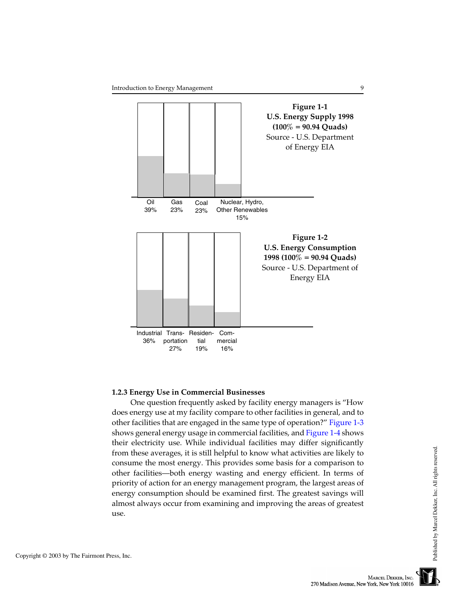<span id="page-8-0"></span>

# **1.2.3 Energy Use in Commercial Businesses**

One question frequently asked by facility energy managers is "How does energy use at my facility compare to other facilities in general, and to other facilities that are engaged in the same type of operation?" [Figure 1-3](#page-9-0) shows general energy usage in commercial facilities, and Figure 1-4 shows their electricity use. While individual facilities may differ significantly from these averages, it is still helpful to know what activities are likely to consume the most energy. This provides some basis for a comparison to other facilities—both energy wasting and energy efficient. In terms of priority of action for an energy management program, the largest areas of energy consumption should be examined first. The greatest savings will almost always occur from examining and improving the areas of greatest use.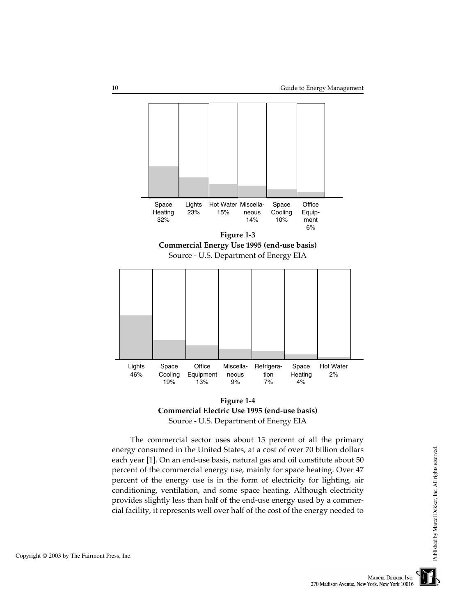<span id="page-9-0"></span>



The commercial sector uses about 15 percent of all the primary energy consumed in the United States, at a cost of over 70 billion dollars each year [1]. On an end-use basis, natural gas and oil constitute about 50 percent of the commercial energy use, mainly for space heating. Over 47 percent of the energy use is in the form of electricity for lighting, air conditioning, ventilation, and some space heating. Although electricity provides slightly less than half of the end-use energy used by a commercial facility, it represents well over half of the cost of the energy needed to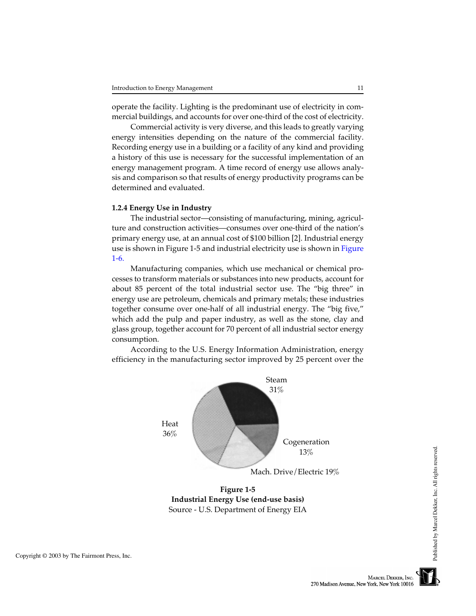operate the facility. Lighting is the predominant use of electricity in commercial buildings, and accounts for over one-third of the cost of electricity.

Commercial activity is very diverse, and this leads to greatly varying energy intensities depending on the nature of the commercial facility. Recording energy use in a building or a facility of any kind and providing a history of this use is necessary for the successful implementation of an energy management program. A time record of energy use allows analysis and comparison so that results of energy productivity programs can be determined and evaluated.

# **1.2.4 Energy Use in Industry**

The industrial sector—consisting of manufacturing, mining, agriculture and construction activities—consumes over one-third of the nation's primary energy use, at an annual cost of \$100 billion [2]. Industrial energy use is shown in Figure 1-5 and industrial electricity use is shown in [Figure](#page-11-0) [1-6.](#page-11-0)

Manufacturing companies, which use mechanical or chemical processes to transform materials or substances into new products, account for about 85 percent of the total industrial sector use. The "big three" in energy use are petroleum, chemicals and primary metals; these industries together consume over one-half of all industrial energy. The "big five," which add the pulp and paper industry, as well as the stone, clay and glass group, together account for 70 percent of all industrial sector energy consumption.

According to the U.S. Energy Information Administration, energy efficiency in the manufacturing sector improved by 25 percent over the



**Figure 1-5 Industrial Energy Use (end-use basis)** Source - U.S. Department of Energy EIA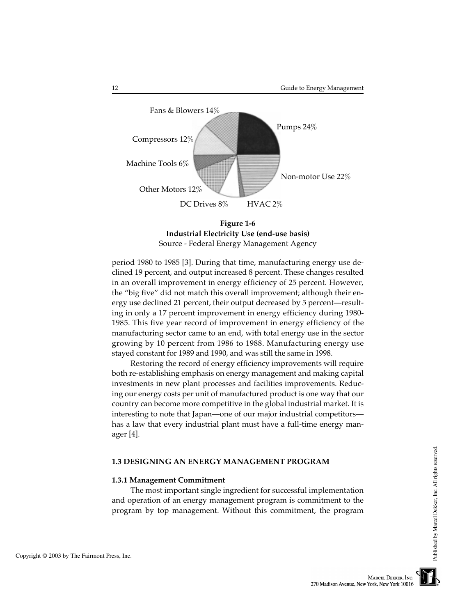<span id="page-11-0"></span>

**Figure 1-6 Industrial Electricity Use (end-use basis)** Source - Federal Energy Management Agency

period 1980 to 1985 [3]. During that time, manufacturing energy use declined 19 percent, and output increased 8 percent. These changes resulted in an overall improvement in energy efficiency of 25 percent. However, the "big five" did not match this overall improvement; although their energy use declined 21 percent, their output decreased by 5 percent—resulting in only a 17 percent improvement in energy efficiency during 1980- 1985. This five year record of improvement in energy efficiency of the manufacturing sector came to an end, with total energy use in the sector growing by 10 percent from 1986 to 1988. Manufacturing energy use stayed constant for 1989 and 1990, and was still the same in 1998.

Restoring the record of energy efficiency improvements will require both re-establishing emphasis on energy management and making capital investments in new plant processes and facilities improvements. Reducing our energy costs per unit of manufactured product is one way that our country can become more competitive in the global industrial market. It is interesting to note that Japan—one of our major industrial competitors has a law that every industrial plant must have a full-time energy manager [4].

# **1.3 DESIGNING AN ENERGY MANAGEMENT PROGRAM**

#### **1.3.1 Management Commitment**

The most important single ingredient for successful implementation and operation of an energy management program is commitment to the program by top management. Without this commitment, the program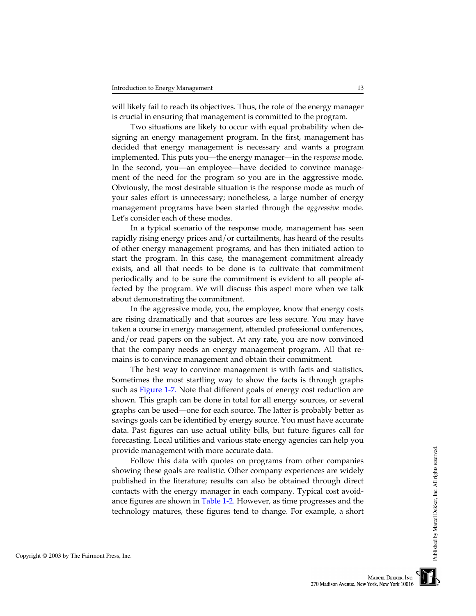will likely fail to reach its objectives. Thus, the role of the energy manager is crucial in ensuring that management is committed to the program.

Two situations are likely to occur with equal probability when designing an energy management program. In the first, management has decided that energy management is necessary and wants a program implemented. This puts you—the energy manager—in the *response* mode. In the second, you—an employee—have decided to convince management of the need for the program so you are in the aggressive mode. Obviously, the most desirable situation is the response mode as much of your sales effort is unnecessary; nonetheless, a large number of energy management programs have been started through the *aggressive* mode. Let's consider each of these modes.

In a typical scenario of the response mode, management has seen rapidly rising energy prices and/or curtailments, has heard of the results of other energy management programs, and has then initiated action to start the program. In this case, the management commitment already exists, and all that needs to be done is to cultivate that commitment periodically and to be sure the commitment is evident to all people affected by the program. We will discuss this aspect more when we talk about demonstrating the commitment.

In the aggressive mode, you, the employee, know that energy costs are rising dramatically and that sources are less secure. You may have taken a course in energy management, attended professional conferences, and/or read papers on the subject. At any rate, you are now convinced that the company needs an energy management program. All that remains is to convince management and obtain their commitment.

The best way to convince management is with facts and statistics. Sometimes the most startling way to show the facts is through graphs such a[s Figure 1-7.](#page-13-0) Note that different goals of energy cost reduction are shown. This graph can be done in total for all energy sources, or several graphs can be used—one for each source. The latter is probably better as savings goals can be identified by energy source. You must have accurate data. Past figures can use actual utility bills, but future figures call for forecasting. Local utilities and various state energy agencies can help you provide management with more accurate data.

Follow this data with quotes on programs from other companies showing these goals are realistic. Other company experiences are widely published in the literature; results can also be obtained through direct contacts with the energy manager in each company. Typical cost avoidance figures are shown in [Table 1-2.](#page-13-0) However, as time progresses and the technology matures, these figures tend to change. For example, a short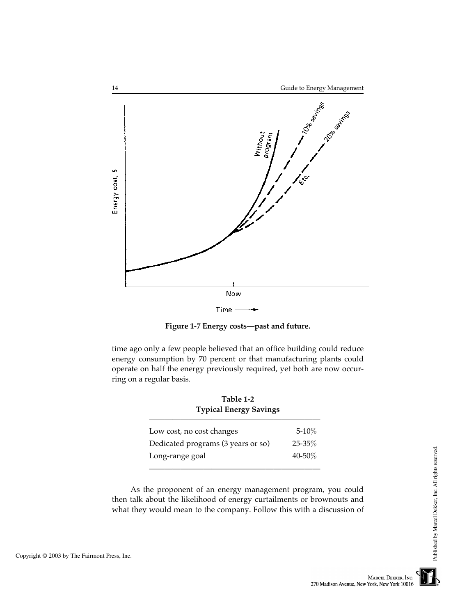<span id="page-13-0"></span>

**Figure 1-7 Energy costs—past and future.**

time ago only a few people believed that an office building could reduce energy consumption by 70 percent or that manufacturing plants could operate on half the energy previously required, yet both are now occurring on a regular basis.

| Table 1-2<br><b>Typical Energy Savings</b> |            |
|--------------------------------------------|------------|
| Low cost, no cost changes                  | $5-10%$    |
| Dedicated programs (3 years or so)         | $25 - 35%$ |

Long-range goal  $40-50\%$ ——————————————————————

As the proponent of an energy management program, you could then talk about the likelihood of energy curtailments or brownouts and what they would mean to the company. Follow this with a discussion of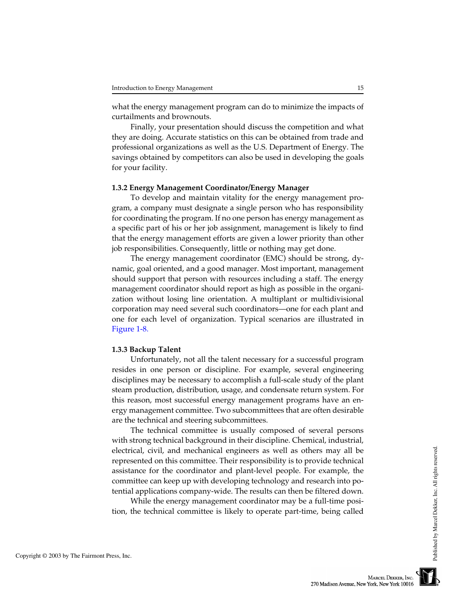what the energy management program can do to minimize the impacts of curtailments and brownouts.

Finally, your presentation should discuss the competition and what they are doing. Accurate statistics on this can be obtained from trade and professional organizations as well as the U.S. Department of Energy. The savings obtained by competitors can also be used in developing the goals for your facility.

### **1.3.2 Energy Management Coordinator/Energy Manager**

To develop and maintain vitality for the energy management program, a company must designate a single person who has responsibility for coordinating the program. If no one person has energy management as a specific part of his or her job assignment, management is likely to find that the energy management efforts are given a lower priority than other job responsibilities. Consequently, little or nothing may get done.

The energy management coordinator (EMC) should be strong, dynamic, goal oriented, and a good manager. Most important, management should support that person with resources including a staff. The energy management coordinator should report as high as possible in the organization without losing line orientation. A multiplant or multidivisional corporation may need several such coordinators—one for each plant and one for each level of organization. Typical scenarios are illustrated in [Figure 1-8.](#page-15-0)

# **1.3.3 Backup Talent**

Unfortunately, not all the talent necessary for a successful program resides in one person or discipline. For example, several engineering disciplines may be necessary to accomplish a full-scale study of the plant steam production, distribution, usage, and condensate return system. For this reason, most successful energy management programs have an energy management committee. Two subcommittees that are often desirable are the technical and steering subcommittees.

The technical committee is usually composed of several persons with strong technical background in their discipline. Chemical, industrial, electrical, civil, and mechanical engineers as well as others may all be represented on this committee. Their responsibility is to provide technical assistance for the coordinator and plant-level people. For example, the committee can keep up with developing technology and research into potential applications company-wide. The results can then be filtered down.

While the energy management coordinator may be a full-time position, the technical committee is likely to operate part-time, being called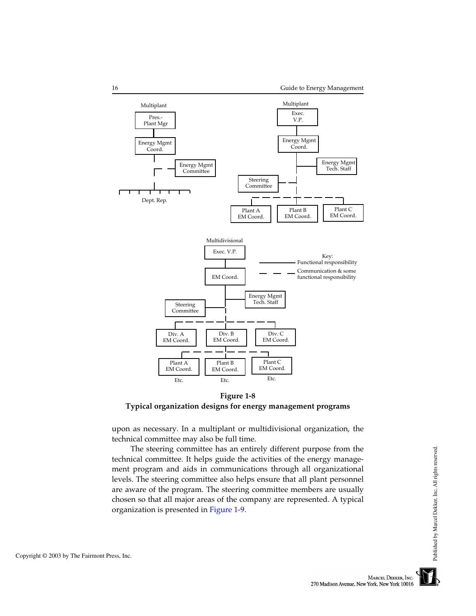<span id="page-15-0"></span>

**Figure 1-8 Typical organization designs for energy management programs**

upon as necessary. In a multiplant or multidivisional organization, the technical committee may also be full time.

The steering committee has an entirely different purpose from the technical committee. It helps guide the activities of the energy management program and aids in communications through all organizational levels. The steering committee also helps ensure that all plant personnel are aware of the program. The steering committee members are usually chosen so that all major areas of the company are represented. A typical organization is presented in [Figure 1-9.](#page-16-0)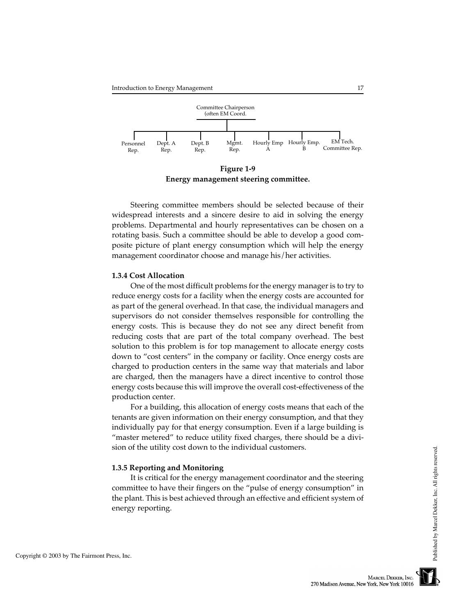<span id="page-16-0"></span>

**Figure 1-9 Energy management steering committee.**

Steering committee members should be selected because of their widespread interests and a sincere desire to aid in solving the energy problems. Departmental and hourly representatives can be chosen on a rotating basis. Such a committee should be able to develop a good composite picture of plant energy consumption which will help the energy management coordinator choose and manage his/her activities.

# **1.3.4 Cost Allocation**

One of the most difficult problems for the energy manager is to try to reduce energy costs for a facility when the energy costs are accounted for as part of the general overhead. In that case, the individual managers and supervisors do not consider themselves responsible for controlling the energy costs. This is because they do not see any direct benefit from reducing costs that are part of the total company overhead. The best solution to this problem is for top management to allocate energy costs down to "cost centers" in the company or facility. Once energy costs are charged to production centers in the same way that materials and labor are charged, then the managers have a direct incentive to control those energy costs because this will improve the overall cost-effectiveness of the production center.

For a building, this allocation of energy costs means that each of the tenants are given information on their energy consumption, and that they individually pay for that energy consumption. Even if a large building is "master metered" to reduce utility fixed charges, there should be a division of the utility cost down to the individual customers.

# **1.3.5 Reporting and Monitoring**

It is critical for the energy management coordinator and the steering committee to have their fingers on the "pulse of energy consumption" in the plant. This is best achieved through an effective and efficient system of energy reporting.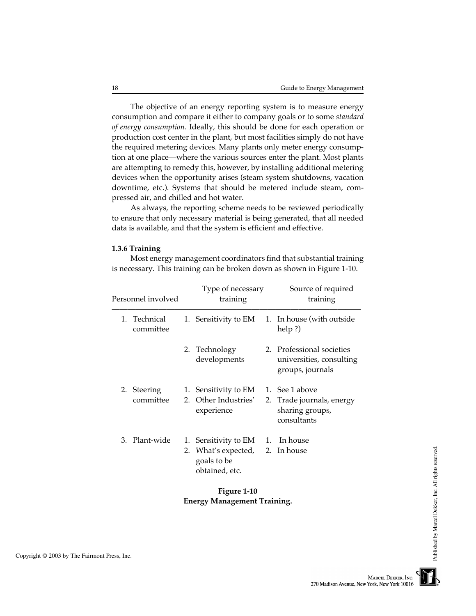The objective of an energy reporting system is to measure energy consumption and compare it either to company goals or to some *standard of energy consumption.* Ideally, this should be done for each operation or production cost center in the plant, but most facilities simply do not have the required metering devices. Many plants only meter energy consumption at one place—where the various sources enter the plant. Most plants are attempting to remedy this, however, by installing additional metering devices when the opportunity arises (steam system shutdowns, vacation downtime, etc.). Systems that should be metered include steam, compressed air, and chilled and hot water.

As always, the reporting scheme needs to be reviewed periodically to ensure that only necessary material is being generated, that all needed data is available, and that the system is efficient and effective.

# **1.3.6 Training**

| Personnel involved        | Type of necessary<br>training                                                | Source of required<br>training                                                |
|---------------------------|------------------------------------------------------------------------------|-------------------------------------------------------------------------------|
| 1. Technical<br>committee | 1. Sensitivity to EM                                                         | 1. In house (with outside<br>help?)                                           |
|                           | 2. Technology<br>developments                                                | 2. Professional societies<br>universities, consulting<br>groups, journals     |
| 2. Steering<br>committee  | 1. Sensitivity to EM<br>2. Other Industries'<br>experience                   | 1. See 1 above<br>2. Trade journals, energy<br>sharing groups,<br>consultants |
| 3. Plant-wide             | 1. Sensitivity to EM<br>2. What's expected,<br>goals to be<br>obtained, etc. | 1. In house<br>2. In house                                                    |

Most energy management coordinators find that substantial training is necessary. This training can be broken down as shown in Figure 1-10.

# **Figure 1-10 Energy Management Training.**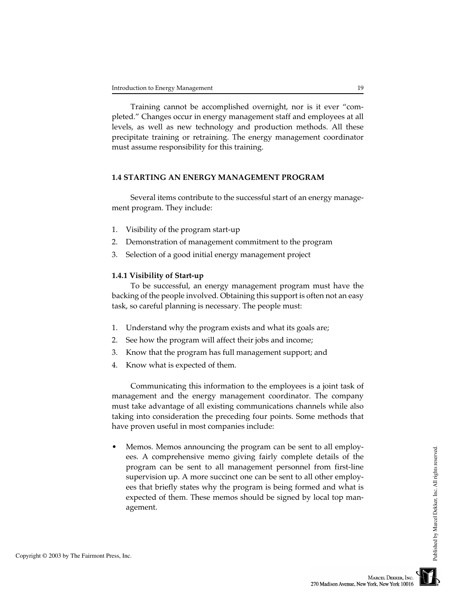Training cannot be accomplished overnight, nor is it ever "completed." Changes occur in energy management staff and employees at all levels, as well as new technology and production methods. All these precipitate training or retraining. The energy management coordinator must assume responsibility for this training.

# **1.4 STARTING AN ENERGY MANAGEMENT PROGRAM**

Several items contribute to the successful start of an energy management program. They include:

- 1. Visibility of the program start-up
- 2. Demonstration of management commitment to the program
- 3. Selection of a good initial energy management project

# **1.4.1 Visibility of Start-up**

To be successful, an energy management program must have the backing of the people involved. Obtaining this support is often not an easy task, so careful planning is necessary. The people must:

- 1. Understand why the program exists and what its goals are;
- 2. See how the program will affect their jobs and income;
- 3. Know that the program has full management support; and
- 4. Know what is expected of them.

Communicating this information to the employees is a joint task of management and the energy management coordinator. The company must take advantage of all existing communications channels while also taking into consideration the preceding four points. Some methods that have proven useful in most companies include:

• Memos. Memos announcing the program can be sent to all employees. A comprehensive memo giving fairly complete details of the program can be sent to all management personnel from first-line supervision up. A more succinct one can be sent to all other employees that briefly states why the program is being formed and what is expected of them. These memos should be signed by local top management.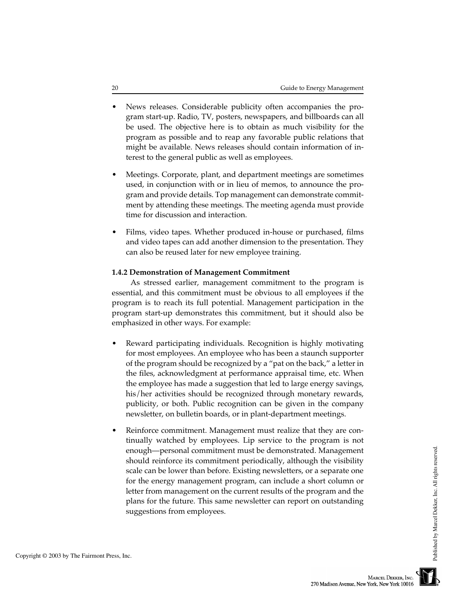- News releases. Considerable publicity often accompanies the program start-up. Radio, TV, posters, newspapers, and billboards can all be used. The objective here is to obtain as much visibility for the program as possible and to reap any favorable public relations that might be available. News releases should contain information of interest to the general public as well as employees.
- Meetings. Corporate, plant, and department meetings are sometimes used, in conjunction with or in lieu of memos, to announce the program and provide details. Top management can demonstrate commitment by attending these meetings. The meeting agenda must provide time for discussion and interaction.
- Films, video tapes. Whether produced in-house or purchased, films and video tapes can add another dimension to the presentation. They can also be reused later for new employee training.

# **1.4.2 Demonstration of Management Commitment**

As stressed earlier, management commitment to the program is essential, and this commitment must be obvious to all employees if the program is to reach its full potential. Management participation in the program start-up demonstrates this commitment, but it should also be emphasized in other ways. For example:

- Reward participating individuals. Recognition is highly motivating for most employees. An employee who has been a staunch supporter of the program should be recognized by a "pat on the back," a letter in the files, acknowledgment at performance appraisal time, etc. When the employee has made a suggestion that led to large energy savings, his/her activities should be recognized through monetary rewards, publicity, or both. Public recognition can be given in the company newsletter, on bulletin boards, or in plant-department meetings.
- Reinforce commitment. Management must realize that they are continually watched by employees. Lip service to the program is not enough—personal commitment must be demonstrated. Management should reinforce its commitment periodically, although the visibility scale can be lower than before. Existing newsletters, or a separate one for the energy management program, can include a short column or letter from management on the current results of the program and the plans for the future. This same newsletter can report on outstanding suggestions from employees.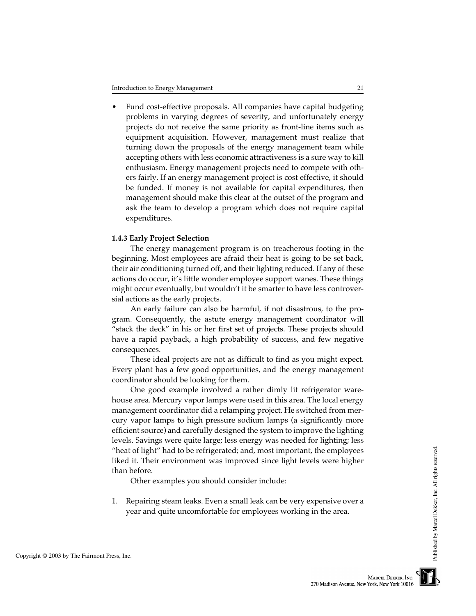• Fund cost-effective proposals. All companies have capital budgeting problems in varying degrees of severity, and unfortunately energy projects do not receive the same priority as front-line items such as equipment acquisition. However, management must realize that turning down the proposals of the energy management team while accepting others with less economic attractiveness is a sure way to kill enthusiasm. Energy management projects need to compete with others fairly. If an energy management project is cost effective, it should be funded. If money is not available for capital expenditures, then management should make this clear at the outset of the program and ask the team to develop a program which does not require capital expenditures.

# **1.4.3 Early Project Selection**

The energy management program is on treacherous footing in the beginning. Most employees are afraid their heat is going to be set back, their air conditioning turned off, and their lighting reduced. If any of these actions do occur, it's little wonder employee support wanes. These things might occur eventually, but wouldn't it be smarter to have less controversial actions as the early projects.

An early failure can also be harmful, if not disastrous, to the program. Consequently, the astute energy management coordinator will "stack the deck" in his or her first set of projects. These projects should have a rapid payback, a high probability of success, and few negative consequences.

These ideal projects are not as difficult to find as you might expect. Every plant has a few good opportunities, and the energy management coordinator should be looking for them.

One good example involved a rather dimly lit refrigerator warehouse area. Mercury vapor lamps were used in this area. The local energy management coordinator did a relamping project. He switched from mercury vapor lamps to high pressure sodium lamps (a significantly more efficient source) and carefully designed the system to improve the lighting levels. Savings were quite large; less energy was needed for lighting; less "heat of light" had to be refrigerated; and, most important, the employees liked it. Their environment was improved since light levels were higher than before.

Other examples you should consider include:

1. Repairing steam leaks. Even a small leak can be very expensive over a year and quite uncomfortable for employees working in the area.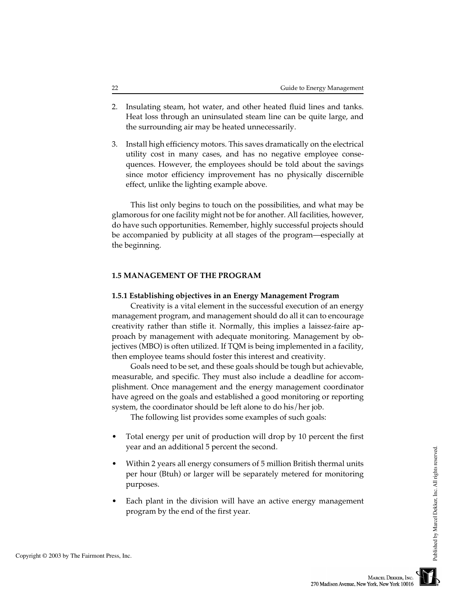- 2. Insulating steam, hot water, and other heated fluid lines and tanks. Heat loss through an uninsulated steam line can be quite large, and the surrounding air may be heated unnecessarily.
- 3. Install high efficiency motors. This saves dramatically on the electrical utility cost in many cases, and has no negative employee consequences. However, the employees should be told about the savings since motor efficiency improvement has no physically discernible effect, unlike the lighting example above.

This list only begins to touch on the possibilities, and what may be glamorous for one facility might not be for another. All facilities, however, do have such opportunities. Remember, highly successful projects should be accompanied by publicity at all stages of the program—especially at the beginning.

# **1.5 MANAGEMENT OF THE PROGRAM**

# **1.5.1 Establishing objectives in an Energy Management Program**

Creativity is a vital element in the successful execution of an energy management program, and management should do all it can to encourage creativity rather than stifle it. Normally, this implies a laissez-faire approach by management with adequate monitoring. Management by objectives (MBO) is often utilized. If TQM is being implemented in a facility, then employee teams should foster this interest and creativity.

Goals need to be set, and these goals should be tough but achievable, measurable, and specific. They must also include a deadline for accomplishment. Once management and the energy management coordinator have agreed on the goals and established a good monitoring or reporting system, the coordinator should be left alone to do his/her job.

The following list provides some examples of such goals:

- Total energy per unit of production will drop by 10 percent the first year and an additional 5 percent the second.
- Within 2 years all energy consumers of 5 million British thermal units per hour (Btuh) or larger will be separately metered for monitoring purposes.
- Each plant in the division will have an active energy management program by the end of the first year.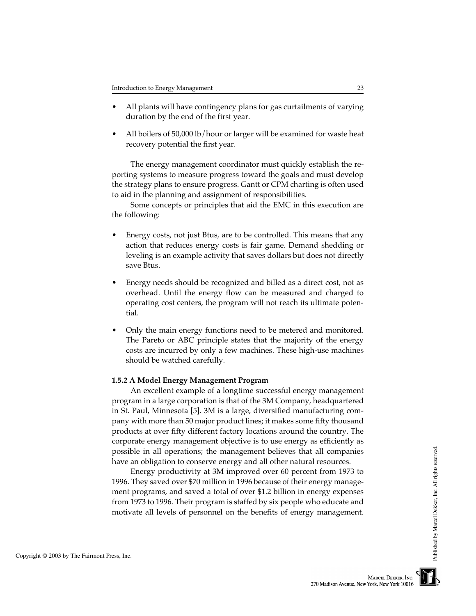- All plants will have contingency plans for gas curtailments of varying duration by the end of the first year.
- All boilers of 50,000 lb/hour or larger will be examined for waste heat recovery potential the first year.

The energy management coordinator must quickly establish the reporting systems to measure progress toward the goals and must develop the strategy plans to ensure progress. Gantt or CPM charting is often used to aid in the planning and assignment of responsibilities.

Some concepts or principles that aid the EMC in this execution are the following:

- Energy costs, not just Btus, are to be controlled. This means that any action that reduces energy costs is fair game. Demand shedding or leveling is an example activity that saves dollars but does not directly save Btus.
- Energy needs should be recognized and billed as a direct cost, not as overhead. Until the energy flow can be measured and charged to operating cost centers, the program will not reach its ultimate potential.
- Only the main energy functions need to be metered and monitored. The Pareto or ABC principle states that the majority of the energy costs are incurred by only a few machines. These high-use machines should be watched carefully.

# **1.5.2 A Model Energy Management Program**

An excellent example of a longtime successful energy management program in a large corporation is that of the 3M Company, headquartered in St. Paul, Minnesota [5]. 3M is a large, diversified manufacturing company with more than 50 major product lines; it makes some fifty thousand products at over fifty different factory locations around the country. The corporate energy management objective is to use energy as efficiently as possible in all operations; the management believes that all companies have an obligation to conserve energy and all other natural resources.

Energy productivity at 3M improved over 60 percent from 1973 to 1996. They saved over \$70 million in 1996 because of their energy management programs, and saved a total of over \$1.2 billion in energy expenses from 1973 to 1996. Their program is staffed by six people who educate and motivate all levels of personnel on the benefits of energy management.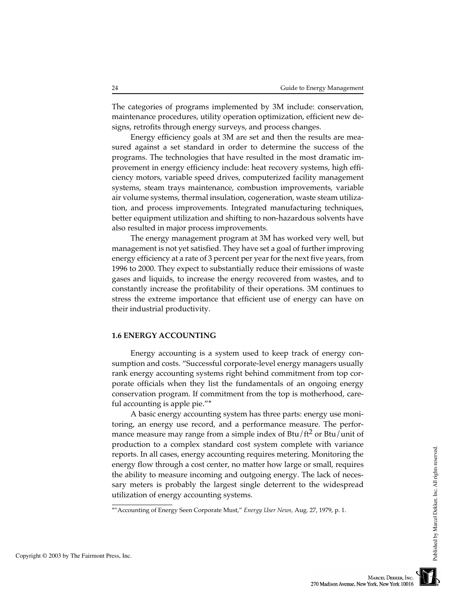The categories of programs implemented by 3M include: conservation, maintenance procedures, utility operation optimization, efficient new designs, retrofits through energy surveys, and process changes.

Energy efficiency goals at 3M are set and then the results are measured against a set standard in order to determine the success of the programs. The technologies that have resulted in the most dramatic improvement in energy efficiency include: heat recovery systems, high efficiency motors, variable speed drives, computerized facility management systems, steam trays maintenance, combustion improvements, variable air volume systems, thermal insulation, cogeneration, waste steam utilization, and process improvements. Integrated manufacturing techniques, better equipment utilization and shifting to non-hazardous solvents have also resulted in major process improvements.

The energy management program at 3M has worked very well, but management is not yet satisfied. They have set a goal of further improving energy efficiency at a rate of 3 percent per year for the next five years, from 1996 to 2000. They expect to substantially reduce their emissions of waste gases and liquids, to increase the energy recovered from wastes, and to constantly increase the profitability of their operations. 3M continues to stress the extreme importance that efficient use of energy can have on their industrial productivity.

#### **1.6 ENERGY ACCOUNTING**

Energy accounting is a system used to keep track of energy consumption and costs. "Successful corporate-level energy managers usually rank energy accounting systems right behind commitment from top corporate officials when they list the fundamentals of an ongoing energy conservation program. If commitment from the top is motherhood, careful accounting is apple pie."\*

A basic energy accounting system has three parts: energy use monitoring, an energy use record, and a performance measure. The performance measure may range from a simple index of  $Btu/ft<sup>2</sup>$  or  $Btu/unit$  of production to a complex standard cost system complete with variance reports. In all cases, energy accounting requires metering. Monitoring the energy flow through a cost center, no matter how large or small, requires the ability to measure incoming and outgoing energy. The lack of necessary meters is probably the largest single deterrent to the widespread utilization of energy accounting systems.

<sup>\*&</sup>quot;Accounting of Energy Seen Corporate Must," *Energy User News,* Aug. 27, 1979, p. 1.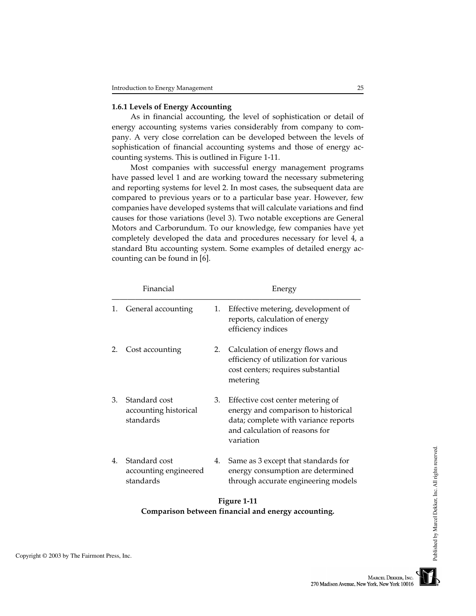# <span id="page-24-0"></span>**1.6.1 Levels of Energy Accounting**

As in financial accounting, the level of sophistication or detail of energy accounting systems varies considerably from company to company. A very close correlation can be developed between the levels of sophistication of financial accounting systems and those of energy accounting systems. This is outlined in Figure 1-11.

Most companies with successful energy management programs have passed level 1 and are working toward the necessary submetering and reporting systems for level 2. In most cases, the subsequent data are compared to previous years or to a particular base year. However, few companies have developed systems that will calculate variations and find causes for those variations (level 3). Two notable exceptions are General Motors and Carborundum. To our knowledge, few companies have yet completely developed the data and procedures necessary for level 4, a standard Btu accounting system. Some examples of detailed energy accounting can be found in [6].

| Financial |                                                     |    | Energy                                                                                                                                                          |
|-----------|-----------------------------------------------------|----|-----------------------------------------------------------------------------------------------------------------------------------------------------------------|
| 1.        | General accounting                                  | 1. | Effective metering, development of<br>reports, calculation of energy<br>efficiency indices                                                                      |
| 2.        | Cost accounting                                     | 2. | Calculation of energy flows and<br>efficiency of utilization for various<br>cost centers; requires substantial<br>metering                                      |
| 3.        | Standard cost<br>accounting historical<br>standards | 3. | Effective cost center metering of<br>energy and comparison to historical<br>data; complete with variance reports<br>and calculation of reasons for<br>variation |
| 4.        | Standard cost<br>accounting engineered<br>standards | 4. | Same as 3 except that standards for<br>energy consumption are determined<br>through accurate engineering models                                                 |

# **Figure 1-11 Comparison between financial and energy accounting.**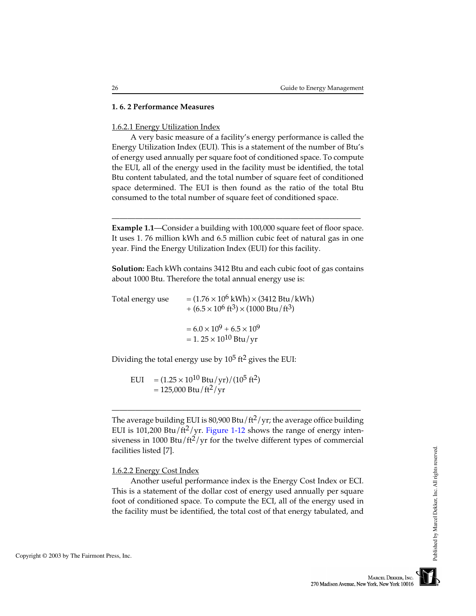# **1. 6. 2 Performance Measures**

# 1.6.2.1 Energy Utilization Index

A very basic measure of a facility's energy performance is called the Energy Utilization Index (EUI). This is a statement of the number of Btu's of energy used annually per square foot of conditioned space. To compute the EUI, all of the energy used in the facility must be identified, the total Btu content tabulated, and the total number of square feet of conditioned space determined. The EUI is then found as the ratio of the total Btu consumed to the total number of square feet of conditioned space.

**Example 1.1**—Consider a building with 100,000 square feet of floor space. It uses 1. 76 million kWh and 6.5 million cubic feet of natural gas in one year. Find the Energy Utilization Index (EUI) for this facility.

————————————————————————————————

**Solution:** Each kWh contains 3412 Btu and each cubic foot of gas contains about 1000 Btu. Therefore the total annual energy use is:

| Total energy use | $= (1.76 \times 10^6 \text{ kWh}) \times (3412 \text{ Btu}/\text{kWh})$<br>$+ (6.5 \times 10^6 \text{ ft}^3) \times (1000 \text{ Btu}/\text{ ft}^3)$ |
|------------------|------------------------------------------------------------------------------------------------------------------------------------------------------|
|                  | $= 6.0 \times 10^9 + 6.5 \times 10^9$<br>$= 1.25 \times 10^{10}$ Btu/yr                                                                              |

Dividing the total energy use by  $10^5$  ft<sup>2</sup> gives the EUI:

EUI =  $(1.25 \times 10^{10} \text{ Btu/yr})/(10^5 \text{ ft}^2)$  $= 125,000$  Btu / ft<sup>2</sup>/yr

The average building EUI is 80,900 Btu/ft<sup>2</sup>/yr; the average office building EUI is 101,200 Btu/ft<sup>2</sup>/yr[. Figure 1-12](#page-26-0) shows the range of energy intensiveness in 1000 Btu/ft<sup>2</sup>/yr for the twelve different types of commercial facilities listed [7].

————————————————————————————————

# 1.6.2.2 Energy Cost Index

Another useful performance index is the Energy Cost Index or ECI. This is a statement of the dollar cost of energy used annually per square foot of conditioned space. To compute the ECI, all of the energy used in the facility must be identified, the total cost of that energy tabulated, and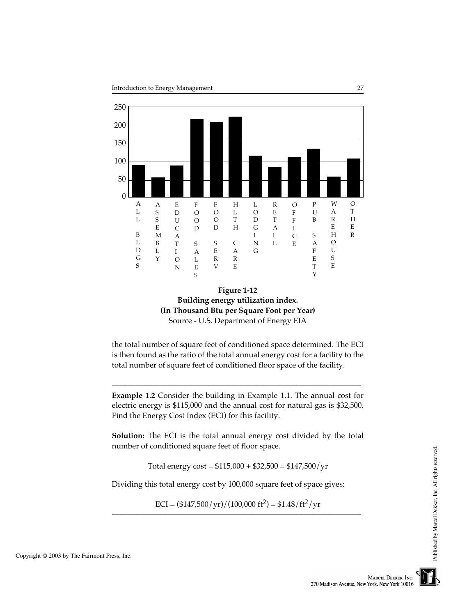<span id="page-26-0"></span>



the total number of square feet of conditioned space determined. The ECI is then found as the ratio of the total annual energy cost for a facility to the total number of square feet of conditioned floor space of the facility.

**Example 1.2** Consider the building in Example 1.1. The annual cost for electric energy is \$115,000 and the annual cost for natural gas is \$32,500. Find the Energy Cost Index (ECI) for this facility.

————————————————————————————————

**Solution:** The ECI is the total annual energy cost divided by the total number of conditioned square feet of floor space.

Total energy  $cost = $115,000 + $32,500 = $147,500/yr$ 

Dividing this total energy cost by 100,000 square feet of space gives:

 $ECI = (\$147,500/yr)/(100,000 ft^2) = \$1.48/ft^2/yr$  $\frac{1}{\sqrt{2}}$  , and the contribution of  $\frac{1}{\sqrt{2}}$  , and  $\frac{1}{\sqrt{2}}$  , and  $\frac{1}{\sqrt{2}}$  , and  $\frac{1}{\sqrt{2}}$  , and  $\frac{1}{\sqrt{2}}$  , and  $\frac{1}{\sqrt{2}}$  , and  $\frac{1}{\sqrt{2}}$  , and  $\frac{1}{\sqrt{2}}$  , and  $\frac{1}{\sqrt{2}}$  , and  $\frac{1}{\sqrt{2}}$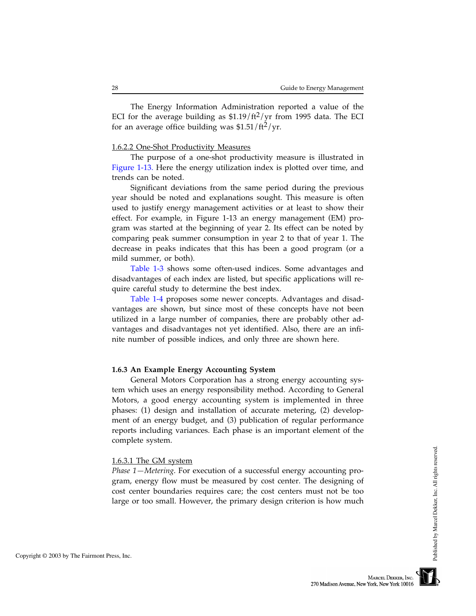The Energy Information Administration reported a value of the ECI for the average building as  $$1.19/ft^2$ /yr from 1995 data. The ECI for an average office building was  $$1.51/ft^2/yr$ .

#### 1.6.2.2 One-Shot Productivity Measures

The purpose of a one-shot productivity measure is illustrated in [Figure 1-13.](#page-28-0) Here the energy utilization index is plotted over time, and trends can be noted.

Significant deviations from the same period during the previous year should be noted and explanations sought. This measure is often used to justify energy management activities or at least to show their effect. For example, in Figure 1-13 an energy management (EM) program was started at the beginning of year 2. Its effect can be noted by comparing peak summer consumption in year 2 to that of year 1. The decrease in peaks indicates that this has been a good program (or a mild summer, or both).

[Table 1-3](#page-29-0) shows some often-used indices. Some advantages and disadvantages of each index are listed, but specific applications will require careful study to determine the best index.

[Table 1-4](#page-30-0) proposes some newer concepts. Advantages and disadvantages are shown, but since most of these concepts have not been utilized in a large number of companies, there are probably other advantages and disadvantages not yet identified. Also, there are an infinite number of possible indices, and only three are shown here.

#### **1.6.3 An Example Energy Accounting System**

General Motors Corporation has a strong energy accounting system which uses an energy responsibility method. According to General Motors, a good energy accounting system is implemented in three phases: (1) design and installation of accurate metering, (2) development of an energy budget, and (3) publication of regular performance reports including variances. Each phase is an important element of the complete system.

#### 1.6.3.1 The GM system

*Phase 1—Metering*. For execution of a successful energy accounting program, energy flow must be measured by cost center. The designing of cost center boundaries requires care; the cost centers must not be too large or too small. However, the primary design criterion is how much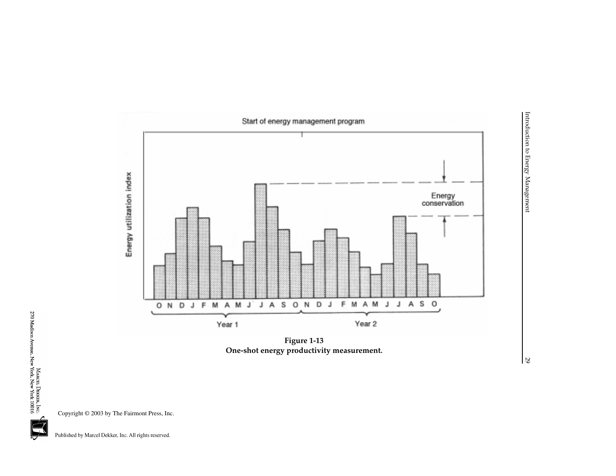<span id="page-28-0"></span>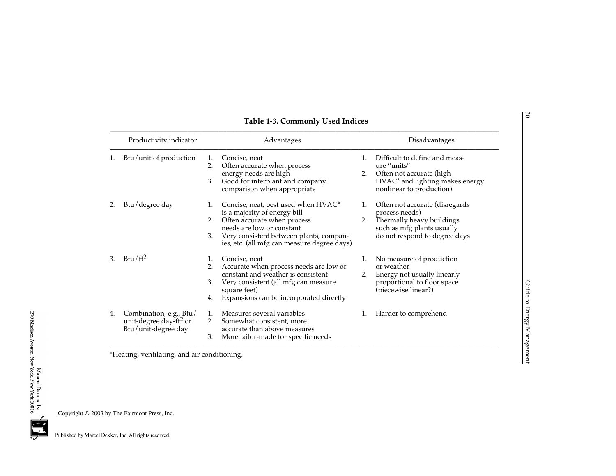<span id="page-29-0"></span>

| Productivity indicator             |          | Advantages                                                                                                          | Disadvantages |                                                                                            |  |
|------------------------------------|----------|---------------------------------------------------------------------------------------------------------------------|---------------|--------------------------------------------------------------------------------------------|--|
| Btu/unit of production<br>1.       | 1.<br>2. | Concise, neat<br>Often accurate when process                                                                        | 1.            | Difficult to define and meas-<br>ure "units"                                               |  |
|                                    | 3.       | energy needs are high<br>Good for interplant and company<br>comparison when appropriate                             |               | 2. Often not accurate (high<br>HVAC* and lighting makes energy<br>nonlinear to production) |  |
| Btu/degree day<br>2.               | 1.       | Concise, neat, best used when HVAC*<br>is a majority of energy bill                                                 | 1.            | Often not accurate (disregards<br>process needs)                                           |  |
|                                    | 2.       | Often accurate when process                                                                                         | 2.            | Thermally heavy buildings                                                                  |  |
|                                    | 3.       | needs are low or constant<br>Very consistent between plants, compan-<br>ies, etc. (all mfg can measure degree days) |               | such as mfg plants usually<br>do not respond to degree days                                |  |
| Btu/ft <sup>2</sup><br>3.          | 1.<br>2. | Concise, neat<br>Accurate when process needs are low or                                                             | 1.            | No measure of production<br>or weather                                                     |  |
|                                    | 3.       | constant and weather is consistent<br>Very consistent (all mfg can measure<br>square feet)                          | 2.            | Energy not usually linearly<br>proportional to floor space<br>(piecewise linear?)          |  |
|                                    | 4.       | Expansions can be incorporated directly                                                                             |               |                                                                                            |  |
| Combination, e.g., Btu/<br>4.      | 1.       | Measures several variables                                                                                          | 1.            | Harder to comprehend                                                                       |  |
| unit-degree day-ft <sup>2</sup> or | 2.       | Somewhat consistent, more<br>accurate than above measures                                                           |               |                                                                                            |  |
| Btu/unit-degree day                | 3.       | More tailor-made for specific needs                                                                                 |               |                                                                                            |  |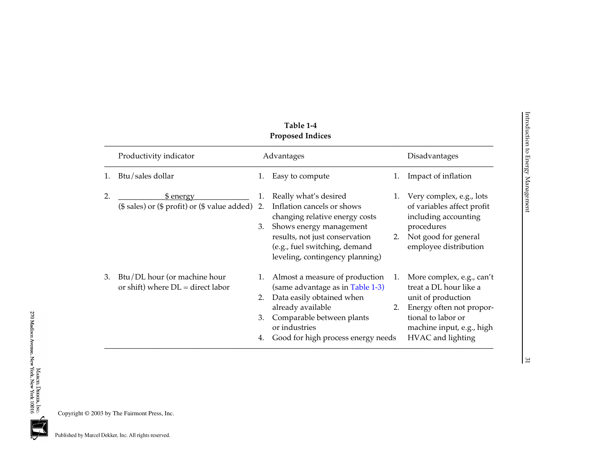<span id="page-30-0"></span>

|                                                                         |                      | Table 1-4<br><b>Proposed Indices</b>                                                                                                                                                                                   |          |                                                                                                                                                                               |
|-------------------------------------------------------------------------|----------------------|------------------------------------------------------------------------------------------------------------------------------------------------------------------------------------------------------------------------|----------|-------------------------------------------------------------------------------------------------------------------------------------------------------------------------------|
| Productivity indicator                                                  |                      | Advantages                                                                                                                                                                                                             |          | Disadvantages                                                                                                                                                                 |
| Btu/sales dollar                                                        | 1.                   | Easy to compute                                                                                                                                                                                                        | 1.       | Impact of inflation                                                                                                                                                           |
| 2.<br>\$ energy<br>(\$ sales) or (\$ profit) or (\$ value added)        | 2.<br>3.             | Really what's desired<br>Inflation cancels or shows<br>changing relative energy costs<br>Shows energy management<br>results, not just conservation<br>(e.g., fuel switching, demand<br>leveling, contingency planning) | 1.<br>2. | Very complex, e.g., lots<br>of variables affect profit<br>including accounting<br>procedures<br>Not good for general<br>employee distribution                                 |
| Btu/DL hour (or machine hour<br>3.<br>or shift) where DL = direct labor | 1.<br>2.<br>3.<br>4. | Almost a measure of production<br>(same advantage as in Table 1-3)<br>Data easily obtained when<br>already available<br>Comparable between plants<br>or industries<br>Good for high process energy needs               | 1.<br>2. | More complex, e.g., can't<br>treat a DL hour like a<br>unit of production<br>Energy often not propor-<br>tional to labor or<br>machine input, e.g., high<br>HVAC and lighting |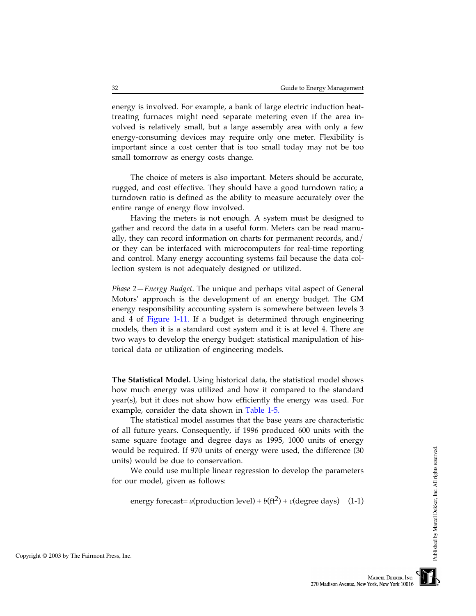energy is involved. For example, a bank of large electric induction heattreating furnaces might need separate metering even if the area involved is relatively small, but a large assembly area with only a few energy-consuming devices may require only one meter. Flexibility is important since a cost center that is too small today may not be too small tomorrow as energy costs change.

The choice of meters is also important. Meters should be accurate, rugged, and cost effective. They should have a good turndown ratio; a turndown ratio is defined as the ability to measure accurately over the entire range of energy flow involved.

Having the meters is not enough. A system must be designed to gather and record the data in a useful form. Meters can be read manually, they can record information on charts for permanent records, and/ or they can be interfaced with microcomputers for real-time reporting and control. Many energy accounting systems fail because the data collection system is not adequately designed or utilized.

*Phase 2—Energy Budget*. The unique and perhaps vital aspect of General Motors' approach is the development of an energy budget. The GM energy responsibility accounting system is somewhere between levels 3 and 4 of [Figure 1-11.](#page-24-0) If a budget is determined through engineering models, then it is a standard cost system and it is at level 4. There are two ways to develop the energy budget: statistical manipulation of historical data or utilization of engineering models.

**The Statistical Model.** Using historical data, the statistical model shows how much energy was utilized and how it compared to the standard year(s), but it does not show how efficiently the energy was used. For example, consider the data shown in [Table 1-5.](#page-32-0)

The statistical model assumes that the base years are characteristic of all future years. Consequently, if 1996 produced 600 units with the same square footage and degree days as 1995, 1000 units of energy would be required. If 970 units of energy were used, the difference (30 units) would be due to conservation.

We could use multiple linear regression to develop the parameters for our model, given as follows:

energy forecast = 
$$
a
$$
(production level) +  $b$ (ft<sup>2</sup>) +  $c$ (degree days) (1-1)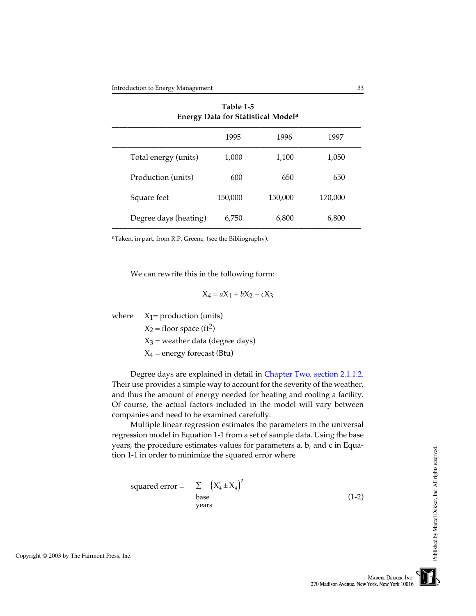<span id="page-32-0"></span>

|                       | Energy Data for Statistical Model <sup>a</sup> |         |         |  |  |  |
|-----------------------|------------------------------------------------|---------|---------|--|--|--|
|                       | 1995                                           | 1996    | 1997    |  |  |  |
| Total energy (units)  | 1,000                                          | 1,100   | 1,050   |  |  |  |
| Production (units)    | 600                                            | 650     | 650     |  |  |  |
| Square feet           | 150,000                                        | 150,000 | 170,000 |  |  |  |
| Degree days (heating) | 6,750                                          | 6,800   | 6,800   |  |  |  |
|                       |                                                |         |         |  |  |  |

**Table 1-5 Energy Data for Statistical Modela**

aTaken, in part, from R.P. Greene, (see the Bibliography).

We can rewrite this in the following form:

 $X_4 = aX_1 + bX_2 + cX_3$ 

where  $X_1$ = production (units)  $X_2$  = floor space (ft<sup>2</sup>)  $X_3$  = weather data (degree days)  $X_4$  = energy forecast (Btu)

Degree days are explained in detail in [Chapter Two, section 2.1.1.2.](#page-4-0) Their use provides a simple way to account for the severity of the weather, and thus the amount of energy needed for heating and cooling a facility. Of course, the actual factors included in the model will vary between companies and need to be examined carefully.

Multiple linear regression estimates the parameters in the universal regression model in Equation 1-1 from a set of sample data. Using the base years, the procedure estimates values for parameters a, b, and c in Equation 1-1 in order to minimize the squared error where

squared error = 
$$
\sum_{\text{base}} (X_4^i \pm X_4)^2
$$
 (1-2)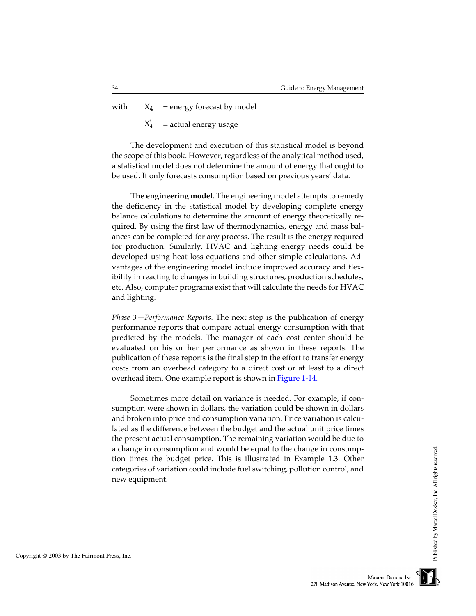with  $X_4$  = energy forecast by model

 $\chi_4^{\rm i}$ = actual energy usage

The development and execution of this statistical model is beyond the scope of this book. However, regardless of the analytical method used, a statistical model does not determine the amount of energy that ought to be used. It only forecasts consumption based on previous years' data.

**The engineering model.** The engineering model attempts to remedy the deficiency in the statistical model by developing complete energy balance calculations to determine the amount of energy theoretically required. By using the first law of thermodynamics, energy and mass balances can be completed for any process. The result is the energy required for production. Similarly, HVAC and lighting energy needs could be developed using heat loss equations and other simple calculations. Advantages of the engineering model include improved accuracy and flexibility in reacting to changes in building structures, production schedules, etc. Also, computer programs exist that will calculate the needs for HVAC and lighting.

*Phase 3—Performance Reports*. The next step is the publication of energy performance reports that compare actual energy consumption with that predicted by the models. The manager of each cost center should be evaluated on his or her performance as shown in these reports. The publication of these reports is the final step in the effort to transfer energy costs from an overhead category to a direct cost or at least to a direct overhead item. One example report is shown i[n Figure 1-14.](#page-34-0)

Sometimes more detail on variance is needed. For example, if consumption were shown in dollars, the variation could be shown in dollars and broken into price and consumption variation. Price variation is calculated as the difference between the budget and the actual unit price times the present actual consumption. The remaining variation would be due to a change in consumption and would be equal to the change in consumption times the budget price. This is illustrated in Example 1.3. Other categories of variation could include fuel switching, pollution control, and new equipment.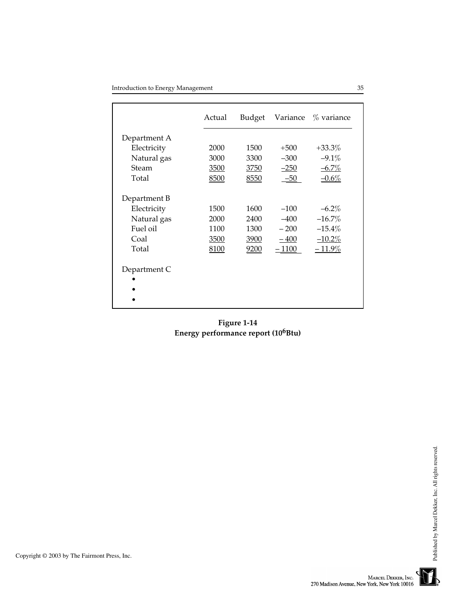<span id="page-34-0"></span>

|              | Actual | Budget | Variance | $%$ variance |
|--------------|--------|--------|----------|--------------|
| Department A |        |        |          |              |
| Electricity  | 2000   | 1500   | $+500$   | $+33.3%$     |
| Natural gas  | 3000   | 3300   | $-300$   | $-9.1\%$     |
| Steam        | 3500   | 3750   | $-250$   | $-6.7\%$     |
| Total        | 8500   | 8550   | $-50$    | $-0.6\%$     |
| Department B |        |        |          |              |
| Electricity  | 1500   | 1600   | $-100$   | $-6.2\%$     |
| Natural gas  | 2000   | 2400   | $-400$   | $-16.7%$     |
| Fuel oil     | 1100   | 1300   | $-200$   | $-15.4%$     |
| Coal         | 3500   | 3900   | $-400$   | $-10.2%$     |
| Total        | 8100   | 9200   | $-1100$  | $-11.9\%$    |
| Department C |        |        |          |              |
|              |        |        |          |              |
|              |        |        |          |              |

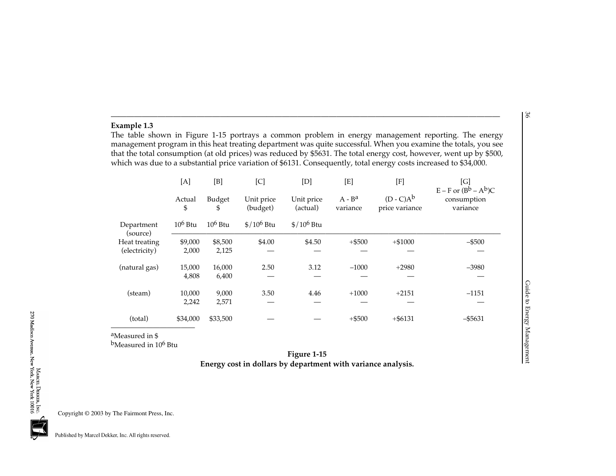|                                |                  |                  |                        |                        |                       |                                            | that the total consumption (at old prices) was reduced by \$5631. The total energy cost, however, went up by \$500,<br>which was due to a substantial price variation of \$6131. Consequently, total energy costs increased to \$34,000. |
|--------------------------------|------------------|------------------|------------------------|------------------------|-----------------------|--------------------------------------------|------------------------------------------------------------------------------------------------------------------------------------------------------------------------------------------------------------------------------------------|
|                                | [A]              | [B]              | [C]                    | [D]                    | [E]                   | $[{\rm F}]$                                | [G]<br>$E - F$ or $(B^b - A^b)C$                                                                                                                                                                                                         |
|                                | Actual<br>\$     | Budget<br>\$     | Unit price<br>(budget) | Unit price<br>(actual) | $A - B^a$<br>variance | $(D - C)$ A <sup>b</sup><br>price variance | consumption<br>variance                                                                                                                                                                                                                  |
| Department<br>(source)         | $10^6$ Btu       | $10^6$ Btu       | $$/10^6$ Btu           | $$/10^6$ Btu           |                       |                                            |                                                                                                                                                                                                                                          |
| Heat treating<br>(electricity) | \$9,000<br>2,000 | \$8,500<br>2,125 | \$4.00                 | \$4.50                 | $+ $500$              | $+ $1000$                                  | $-$ \$500                                                                                                                                                                                                                                |
| (natural gas)                  | 15,000<br>4,808  | 16,000<br>6,400  | 2.50                   | 3.12                   | $-1000$               | $+2980$                                    | $-3980$                                                                                                                                                                                                                                  |
| (steam)                        | 10,000<br>2,242  | 9,000<br>2,571   | 3.50                   | 4.46                   | $+1000$               | $+2151$                                    | $-1151$                                                                                                                                                                                                                                  |
| (total)                        | \$34,000         | \$33,500         |                        |                        | $+ $500$              | $+ $6131$                                  | $-$ \$5631                                                                                                                                                                                                                               |

**Figure 1-15 Energy cost in dollars by department with variance analysis.**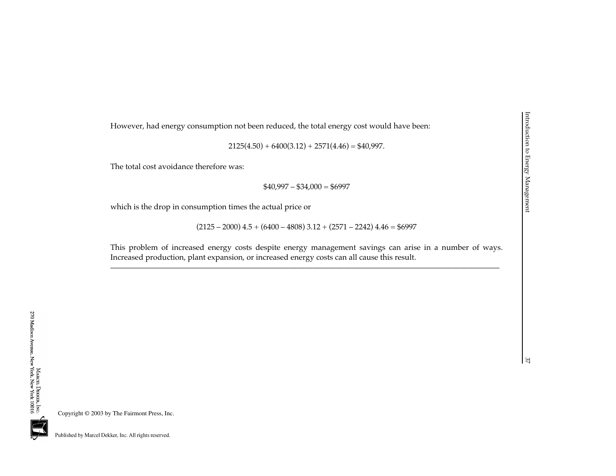$$
2125(4.50) + 6400(3.12) + 2571(4.46) = $40,997.
$$

However, had energy consumption not been reduced, the total energy cost would have been:<br>  $2125(4.50) + 6400(3.12) + 2571(4.46) = $40,997$ .<br>
The total cost avoidance therefore was:<br>  $$40,997 - $34,000 = $6997$ <br>
which is the drop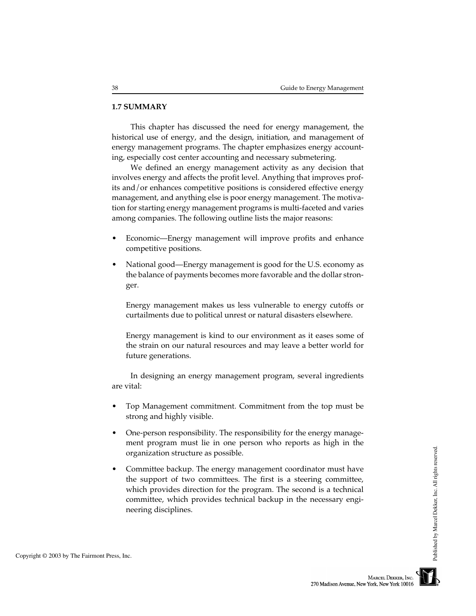# **1.7 SUMMARY**

This chapter has discussed the need for energy management, the historical use of energy, and the design, initiation, and management of energy management programs. The chapter emphasizes energy accounting, especially cost center accounting and necessary submetering.

We defined an energy management activity as any decision that involves energy and affects the profit level. Anything that improves profits and/or enhances competitive positions is considered effective energy management, and anything else is poor energy management. The motivation for starting energy management programs is multi-faceted and varies among companies. The following outline lists the major reasons:

- Economic—Energy management will improve profits and enhance competitive positions.
- National good—Energy management is good for the U.S. economy as the balance of payments becomes more favorable and the dollar stronger.

Energy management makes us less vulnerable to energy cutoffs or curtailments due to political unrest or natural disasters elsewhere.

Energy management is kind to our environment as it eases some of the strain on our natural resources and may leave a better world for future generations.

In designing an energy management program, several ingredients are vital:

- Top Management commitment. Commitment from the top must be strong and highly visible.
- One-person responsibility. The responsibility for the energy management program must lie in one person who reports as high in the organization structure as possible.
- Committee backup. The energy management coordinator must have the support of two committees. The first is a steering committee, which provides direction for the program. The second is a technical committee, which provides technical backup in the necessary engineering disciplines.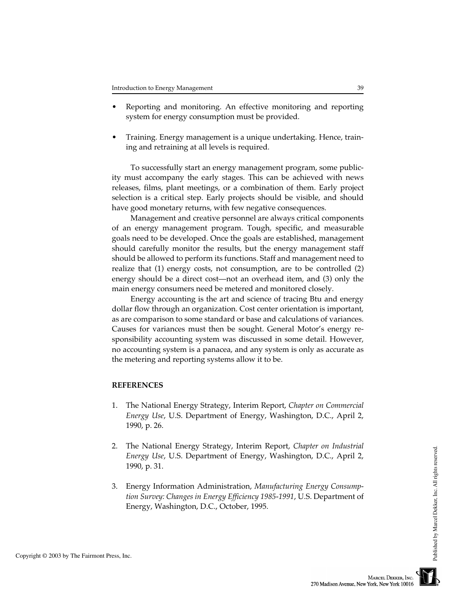- Reporting and monitoring. An effective monitoring and reporting system for energy consumption must be provided.
- Training. Energy management is a unique undertaking. Hence, training and retraining at all levels is required.

To successfully start an energy management program, some publicity must accompany the early stages. This can be achieved with news releases, films, plant meetings, or a combination of them. Early project selection is a critical step. Early projects should be visible, and should have good monetary returns, with few negative consequences.

Management and creative personnel are always critical components of an energy management program. Tough, specific, and measurable goals need to be developed. Once the goals are established, management should carefully monitor the results, but the energy management staff should be allowed to perform its functions. Staff and management need to realize that (1) energy costs, not consumption, are to be controlled (2) energy should be a direct cost—not an overhead item, and (3) only the main energy consumers need be metered and monitored closely.

Energy accounting is the art and science of tracing Btu and energy dollar flow through an organization. Cost center orientation is important, as are comparison to some standard or base and calculations of variances. Causes for variances must then be sought. General Motor's energy responsibility accounting system was discussed in some detail. However, no accounting system is a panacea, and any system is only as accurate as the metering and reporting systems allow it to be.

# **REFERENCES**

- 1. The National Energy Strategy, Interim Report, *Chapter on Commercial Energy Use*, U.S. Department of Energy, Washington, D.C., April 2, 1990, p. 26.
- 2. The National Energy Strategy, Interim Report, *Chapter on Industrial Energy Use*, U.S. Department of Energy, Washington, D.C., April 2, 1990, p. 31.
- 3. Energy Information Administration, *Manufacturing Energy Consumption Survey: Changes in Energy Efficiency 1985-1991*, U.S. Department of Energy, Washington, D.C., October, 1995.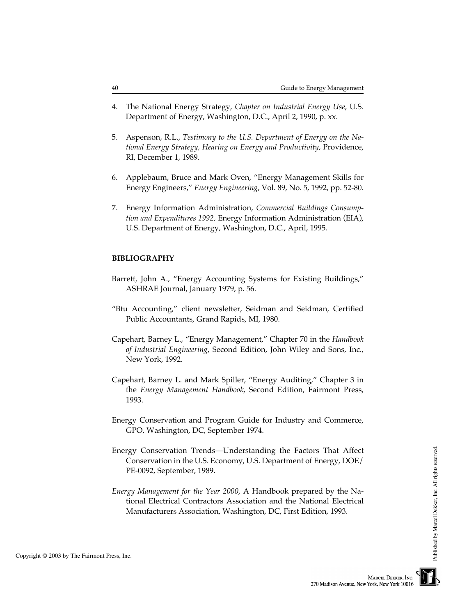- 4. The National Energy Strategy, *Chapter on Industrial Energy Use*, U.S. Department of Energy, Washington, D.C., April 2, 1990, p. xx.
- 5. Aspenson, R.L., *Testimony to the U.S. Department of Energy on the National Energy Strategy, Hearing on Energy and Productivity*, Providence, RI, December 1, 1989.
- 6. Applebaum, Bruce and Mark Oven, "Energy Management Skills for Energy Engineers," *Energy Engineering*, Vol. 89, No. 5, 1992, pp. 52-80.
- 7. Energy Information Administration, *Commercial Buildings Consumption and Expenditures 1992,* Energy Information Administration (EIA), U.S. Department of Energy, Washington, D.C., April, 1995.

# **BIBLIOGRAPHY**

- Barrett, John A., "Energy Accounting Systems for Existing Buildings," ASHRAE Journal, January 1979, p. 56.
- "Btu Accounting," client newsletter, Seidman and Seidman, Certified Public Accountants, Grand Rapids, MI, 1980.
- Capehart, Barney L., "Energy Management," Chapter 70 in the *Handbook of Industrial Engineering*, Second Edition, John Wiley and Sons, Inc., New York, 1992.
- Capehart, Barney L. and Mark Spiller, "Energy Auditing," Chapter 3 in the *Energy Management Handbook*, Second Edition, Fairmont Press, 1993.
- Energy Conservation and Program Guide for Industry and Commerce, GPO, Washington, DC, September 1974.
- Energy Conservation Trends—Understanding the Factors That Affect Conservation in the U.S. Economy, U.S. Department of Energy, DOE/ PE-0092, September, 1989.
- *Energy Management for the Year 2000*, A Handbook prepared by the National Electrical Contractors Association and the National Electrical Manufacturers Association, Washington, DC, First Edition, 1993.